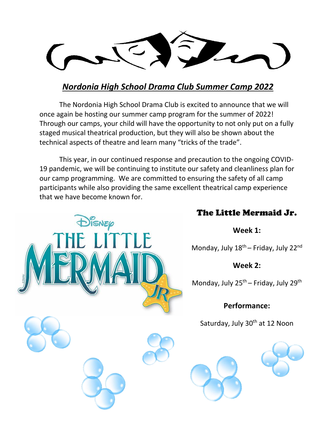## *Nordonia High School Drama Club Summer Camp 2022*

The Nordonia High School Drama Club is excited to announce that we will once again be hosting our summer camp program for the summer of 2022! Through our camps, your child will have the opportunity to not only put on a fully staged musical theatrical production, but they will also be shown about the technical aspects of theatre and learn many "tricks of the trade".

This year, in our continued response and precaution to the ongoing COVID-19 pandemic, we will be continuing to institute our safety and cleanliness plan for our camp programming. We are committed to ensuring the safety of all camp participants while also providing the same excellent theatrical camp experience that we have become known for.



# The Little Mermaid Jr.

**Week 1:**

Monday, July  $18^{th}$  – Friday, July  $22^{nd}$ 

**Week 2:**

Monday, July  $25^{th}$  – Friday, July  $29^{th}$ 

**Performance:**

Saturday, July 30<sup>th</sup> at 12 Noon



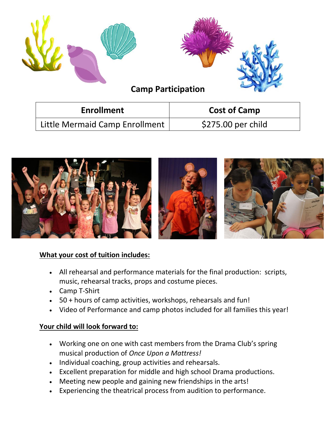| <b>Camp Participation</b>      |                     |
|--------------------------------|---------------------|
| <b>Enrollment</b>              | <b>Cost of Camp</b> |
| Little Mermaid Camp Enrollment | \$275.00 per child  |



## **What your cost of tuition includes:**

- All rehearsal and performance materials for the final production: scripts, music, rehearsal tracks, props and costume pieces.
- Camp T-Shirt
- 50 + hours of camp activities, workshops, rehearsals and fun!
- Video of Performance and camp photos included for all families this year!

## **Your child will look forward to:**

- Working one on one with cast members from the Drama Club's spring musical production of *Once Upon a Mattress!*
- Individual coaching, group activities and rehearsals.
- Excellent preparation for middle and high school Drama productions.
- Meeting new people and gaining new friendships in the arts!
- Experiencing the theatrical process from audition to performance.